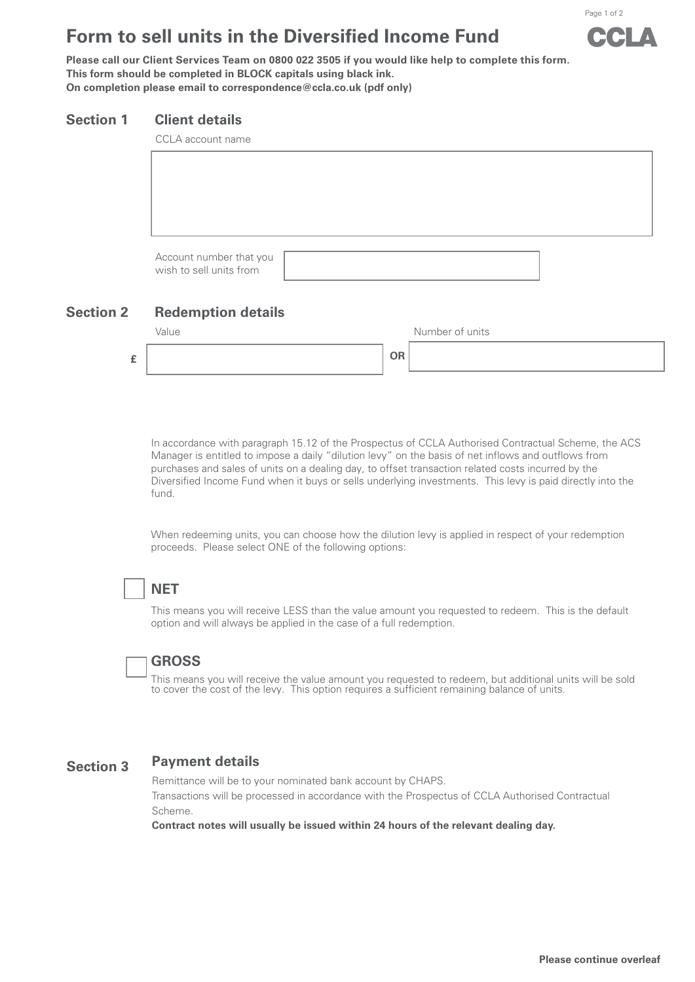# **Form to sell units in the Diversified Income Fund**

Page 1 of 2

**Please call our Client Services Team on 0800 022 3505 if you would like help to complete this form. This form should be completed in BLOCK capitals using black ink. On completion please email to correspondence@ccla.co.uk (pdf only)**

#### **Section 1 Client details**

## **Section 2 Redemption details**



In accordance with paragraph 15.12 of the Prospectus of CCLA Authorised Contractual Scheme, the ACS Manager is entitled to impose a daily "dilution levy" on the basis of net inflows and outflows from purchases and sales of units on a dealing day, to offset transaction related costs incurred by the Diversified Income Fund when it buys or sells underlying investments. This levy is paid directly into the fund.

When redeeming units, you can choose how the dilution levy is applied in respect of your redemption proceeds. Please select ONE of the following options:

## **NET**

This means you will receive LESS than the value amount you requested to redeem. This is the default option and will always be applied in the case of a full redemption.

## **GROSS**

This means you will receive the value amount you requested to redeem, but additional units will be sold to cover the cost of the levy. This option requires a sufficient remaining balance of units.

#### **Section 3 Payment details**

Remittance will be to your nominated bank account by CHAPS.

Transactions will be processed in accordance with the Prospectus of CCLA Authorised Contractual Scheme.

**Contract notes will usually be issued within 24 hours of the relevant dealing day.**